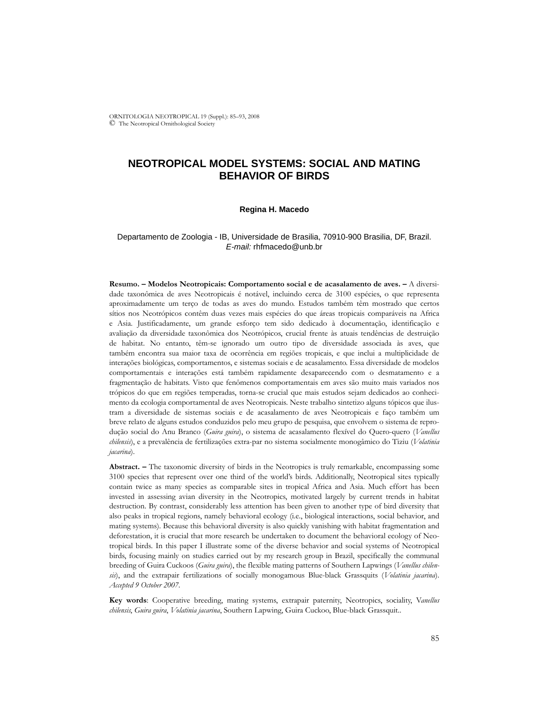ORNITOLOGIA NEOTROPICAL 19 (Suppl.): 85–93, 2008 © The Neotropical Ornithological Society

# **NEOTROPICAL MODEL SYSTEMS: SOCIAL AND MATING BEHAVIOR OF BIRDS**

#### **Regina H. Macedo**

### Departamento de Zoologia - IB, Universidade de Brasilia, 70910-900 Brasilia, DF, Brazil. *E-mail:* rhfmacedo@unb.br

**Resumo. – Modelos Neotropicais: Comportamento social e de acasalamento de aves. –** A diversidade taxonômica de aves Neotropicais é notável, incluindo cerca de 3100 espécies, o que representa aproximadamente um terço de todas as aves do mundo. Estudos também têm mostrado que certos sítios nos Neotrópicos contêm duas vezes mais espécies do que áreas tropicais comparáveis na Africa e Asia. Justificadamente, um grande esforço tem sido dedicado à documentação, identificação e avaliação da diversidade taxonômica dos Neotrópicos, crucial frente às atuais tendências de destruição de habitat. No entanto, têm-se ignorado um outro tipo de diversidade associada às aves, que também encontra sua maior taxa de ocorrência em regiões tropicais, e que inclui a multiplicidade de interações biológicas, comportamentos, e sistemas sociais e de acasalamento. Essa diversidade de modelos comportamentais e interações está também rapidamente desaparecendo com o desmatamento e a fragmentação de habitats. Visto que fenômenos comportamentais em aves são muito mais variados nos trópicos do que em regiões temperadas, torna-se crucial que mais estudos sejam dedicados ao conhecimento da ecologia comportamental de aves Neotropicais. Neste trabalho sintetizo alguns tópicos que ilustram a diversidade de sistemas sociais e de acasalamento de aves Neotropicais e faço também um breve relato de alguns estudos conduzidos pelo meu grupo de pesquisa, que envolvem o sistema de reprodução social do Anu Branco (*Guira guira*), o sistema de acasalamento flexível do Quero-quero (*Vanellus chilensis*), e a prevalência de fertilizações extra-par no sistema socialmente monogâmico do Tiziu (*Volatinia jacarina*).

**Abstract. –** The taxonomic diversity of birds in the Neotropics is truly remarkable, encompassing some 3100 species that represent over one third of the world's birds. Additionally, Neotropical sites typically contain twice as many species as comparable sites in tropical Africa and Asia. Much effort has been invested in assessing avian diversity in the Neotropics, motivated largely by current trends in habitat destruction. By contrast, considerably less attention has been given to another type of bird diversity that also peaks in tropical regions, namely behavioral ecology (i.e., biological interactions, social behavior, and mating systems). Because this behavioral diversity is also quickly vanishing with habitat fragmentation and deforestation, it is crucial that more research be undertaken to document the behavioral ecology of Neotropical birds. In this paper I illustrate some of the diverse behavior and social systems of Neotropical birds, focusing mainly on studies carried out by my research group in Brazil, specifically the communal breeding of Guira Cuckoos (*Guira guira*), the flexible mating patterns of Southern Lapwings (*Vanellus chilensis*), and the extrapair fertilizations of socially monogamous Blue-black Grassquits (*Volatinia jacarina*). *Accepted 9 October 2007.*

**Key words**: Cooperative breeding, mating systems, extrapair paternity, Neotropics, sociality, V*anellus chilensis*, *Guira guira*, *Volatinia jacarina*, Southern Lapwing, Guira Cuckoo, Blue-black Grassquit..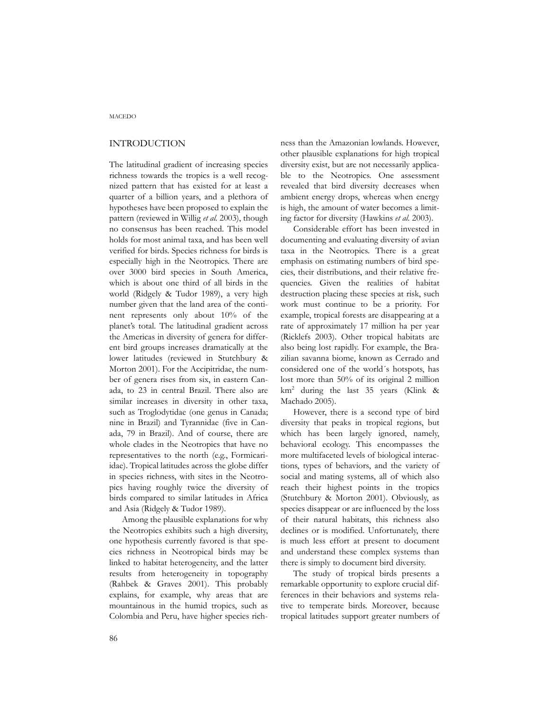# INTRODUCTION

The latitudinal gradient of increasing species richness towards the tropics is a well recognized pattern that has existed for at least a quarter of a billion years, and a plethora of hypotheses have been proposed to explain the pattern (reviewed in Willig *et al.* 2003), though no consensus has been reached. This model holds for most animal taxa, and has been well verified for birds. Species richness for birds is especially high in the Neotropics. There are over 3000 bird species in South America, which is about one third of all birds in the world (Ridgely & Tudor 1989), a very high number given that the land area of the continent represents only about 10% of the planet's total. The latitudinal gradient across the Americas in diversity of genera for different bird groups increases dramatically at the lower latitudes (reviewed in Stutchbury & Morton 2001). For the Accipitridae, the number of genera rises from six, in eastern Canada, to 23 in central Brazil. There also are similar increases in diversity in other taxa, such as Troglodytidae (one genus in Canada; nine in Brazil) and Tyrannidae (five in Canada, 79 in Brazil). And of course, there are whole clades in the Neotropics that have no representatives to the north (e.g., Formicariidae). Tropical latitudes across the globe differ in species richness, with sites in the Neotropics having roughly twice the diversity of birds compared to similar latitudes in Africa and Asia (Ridgely & Tudor 1989).

Among the plausible explanations for why the Neotropics exhibits such a high diversity, one hypothesis currently favored is that species richness in Neotropical birds may be linked to habitat heterogeneity, and the latter results from heterogeneity in topography (Rahbek & Graves 2001). This probably explains, for example, why areas that are mountainous in the humid tropics, such as Colombia and Peru, have higher species richness than the Amazonian lowlands. However, other plausible explanations for high tropical diversity exist, but are not necessarily applicable to the Neotropics. One assessment revealed that bird diversity decreases when ambient energy drops, whereas when energy is high, the amount of water becomes a limiting factor for diversity (Hawkins *et al.* 2003).

Considerable effort has been invested in documenting and evaluating diversity of avian taxa in the Neotropics. There is a great emphasis on estimating numbers of bird species, their distributions, and their relative frequencies. Given the realities of habitat destruction placing these species at risk, such work must continue to be a priority. For example, tropical forests are disappearing at a rate of approximately 17 million ha per year (Ricklefs 2003). Other tropical habitats are also being lost rapidly. For example, the Brazilian savanna biome, known as Cerrado and considered one of the world´s hotspots, has lost more than 50% of its original 2 million km2 during the last 35 years (Klink & Machado 2005).

However, there is a second type of bird diversity that peaks in tropical regions, but which has been largely ignored, namely, behavioral ecology. This encompasses the more multifaceted levels of biological interactions, types of behaviors, and the variety of social and mating systems, all of which also reach their highest points in the tropics (Stutchbury & Morton 2001). Obviously, as species disappear or are influenced by the loss of their natural habitats, this richness also declines or is modified. Unfortunately, there is much less effort at present to document and understand these complex systems than there is simply to document bird diversity.

The study of tropical birds presents a remarkable opportunity to explore crucial differences in their behaviors and systems relative to temperate birds. Moreover, because tropical latitudes support greater numbers of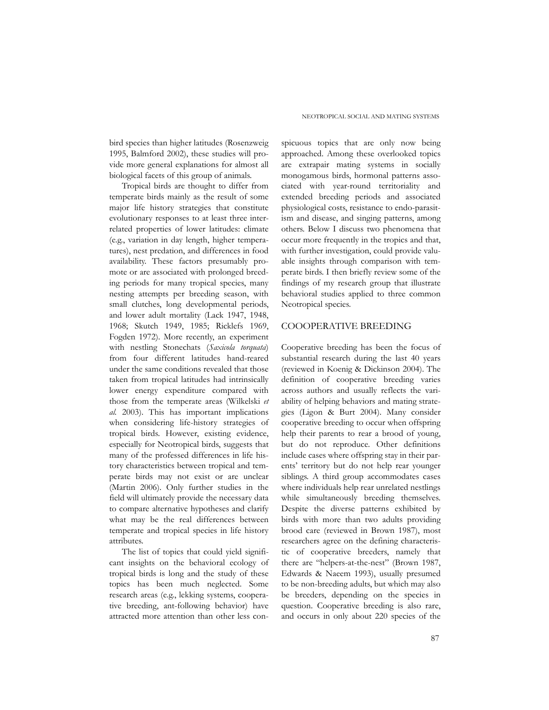bird species than higher latitudes (Rosenzweig 1995, Balmford 2002), these studies will provide more general explanations for almost all biological facets of this group of animals.

Tropical birds are thought to differ from temperate birds mainly as the result of some major life history strategies that constitute evolutionary responses to at least three interrelated properties of lower latitudes: climate (e.g., variation in day length, higher temperatures), nest predation, and differences in food availability. These factors presumably promote or are associated with prolonged breeding periods for many tropical species, many nesting attempts per breeding season, with small clutches, long developmental periods, and lower adult mortality (Lack 1947, 1948, 1968; Skutch 1949, 1985; Ricklefs 1969, Fogden 1972). More recently, an experiment with nestling Stonechats (*Saxicola torquata*) from four different latitudes hand-reared under the same conditions revealed that those taken from tropical latitudes had intrinsically lower energy expenditure compared with those from the temperate areas (Wilkelski *et al.* 2003). This has important implications when considering life-history strategies of tropical birds. However, existing evidence, especially for Neotropical birds, suggests that many of the professed differences in life history characteristics between tropical and temperate birds may not exist or are unclear (Martin 2006). Only further studies in the field will ultimately provide the necessary data to compare alternative hypotheses and clarify what may be the real differences between temperate and tropical species in life history attributes.

The list of topics that could yield significant insights on the behavioral ecology of tropical birds is long and the study of these topics has been much neglected. Some research areas (e.g., lekking systems, cooperative breeding, ant-following behavior) have attracted more attention than other less con-

spicuous topics that are only now being approached. Among these overlooked topics are extrapair mating systems in socially monogamous birds, hormonal patterns associated with year-round territoriality and extended breeding periods and associated physiological costs, resistance to endo-parasitism and disease, and singing patterns, among others. Below I discuss two phenomena that occur more frequently in the tropics and that, with further investigation, could provide valuable insights through comparison with temperate birds. I then briefly review some of the findings of my research group that illustrate behavioral studies applied to three common Neotropical species.

### COOOPERATIVE BREEDING

Cooperative breeding has been the focus of substantial research during the last 40 years (reviewed in Koenig & Dickinson 2004). The definition of cooperative breeding varies across authors and usually reflects the variability of helping behaviors and mating strategies (Ligon & Burt 2004). Many consider cooperative breeding to occur when offspring help their parents to rear a brood of young, but do not reproduce. Other definitions include cases where offspring stay in their parents' territory but do not help rear younger siblings. A third group accommodates cases where individuals help rear unrelated nestlings while simultaneously breeding themselves. Despite the diverse patterns exhibited by birds with more than two adults providing brood care (reviewed in Brown 1987), most researchers agree on the defining characteristic of cooperative breeders, namely that there are "helpers-at-the-nest" (Brown 1987, Edwards & Naeem 1993), usually presumed to be non-breeding adults, but which may also be breeders, depending on the species in question. Cooperative breeding is also rare, and occurs in only about 220 species of the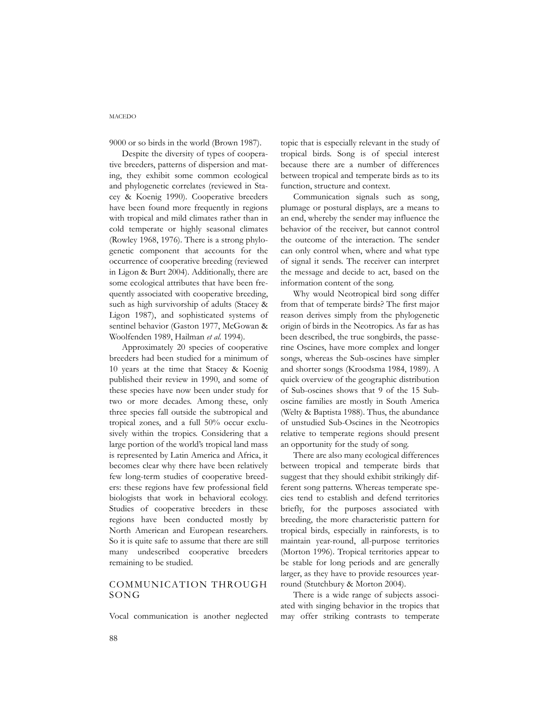### MACEDO

9000 or so birds in the world (Brown 1987).

Despite the diversity of types of cooperative breeders, patterns of dispersion and mating, they exhibit some common ecological and phylogenetic correlates (reviewed in Stacey & Koenig 1990). Cooperative breeders have been found more frequently in regions with tropical and mild climates rather than in cold temperate or highly seasonal climates (Rowley 1968, 1976). There is a strong phylogenetic component that accounts for the occurrence of cooperative breeding (reviewed in Ligon & Burt 2004). Additionally, there are some ecological attributes that have been frequently associated with cooperative breeding, such as high survivorship of adults (Stacey & Ligon 1987), and sophisticated systems of sentinel behavior (Gaston 1977, McGowan & Woolfenden 1989, Hailman *et al.* 1994).

Approximately 20 species of cooperative breeders had been studied for a minimum of 10 years at the time that Stacey & Koenig published their review in 1990, and some of these species have now been under study for two or more decades. Among these, only three species fall outside the subtropical and tropical zones, and a full 50% occur exclusively within the tropics. Considering that a large portion of the world's tropical land mass is represented by Latin America and Africa, it becomes clear why there have been relatively few long-term studies of cooperative breeders: these regions have few professional field biologists that work in behavioral ecology. Studies of cooperative breeders in these regions have been conducted mostly by North American and European researchers. So it is quite safe to assume that there are still many undescribed cooperative breeders remaining to be studied.

# COMMUNICATION THROUGH SONG

Vocal communication is another neglected

topic that is especially relevant in the study of tropical birds. Song is of special interest because there are a number of differences between tropical and temperate birds as to its function, structure and context.

Communication signals such as song, plumage or postural displays, are a means to an end, whereby the sender may influence the behavior of the receiver, but cannot control the outcome of the interaction. The sender can only control when, where and what type of signal it sends. The receiver can interpret the message and decide to act, based on the information content of the song.

Why would Neotropical bird song differ from that of temperate birds? The first major reason derives simply from the phylogenetic origin of birds in the Neotropics. As far as has been described, the true songbirds, the passerine Oscines, have more complex and longer songs, whereas the Sub-oscines have simpler and shorter songs (Kroodsma 1984, 1989). A quick overview of the geographic distribution of Sub-oscines shows that 9 of the 15 Suboscine families are mostly in South America (Welty & Baptista 1988). Thus, the abundance of unstudied Sub-Oscines in the Neotropics relative to temperate regions should present an opportunity for the study of song.

There are also many ecological differences between tropical and temperate birds that suggest that they should exhibit strikingly different song patterns. Whereas temperate species tend to establish and defend territories briefly, for the purposes associated with breeding, the more characteristic pattern for tropical birds, especially in rainforests, is to maintain year-round, all-purpose territories (Morton 1996). Tropical territories appear to be stable for long periods and are generally larger, as they have to provide resources yearround (Stutchbury & Morton 2004).

There is a wide range of subjects associated with singing behavior in the tropics that may offer striking contrasts to temperate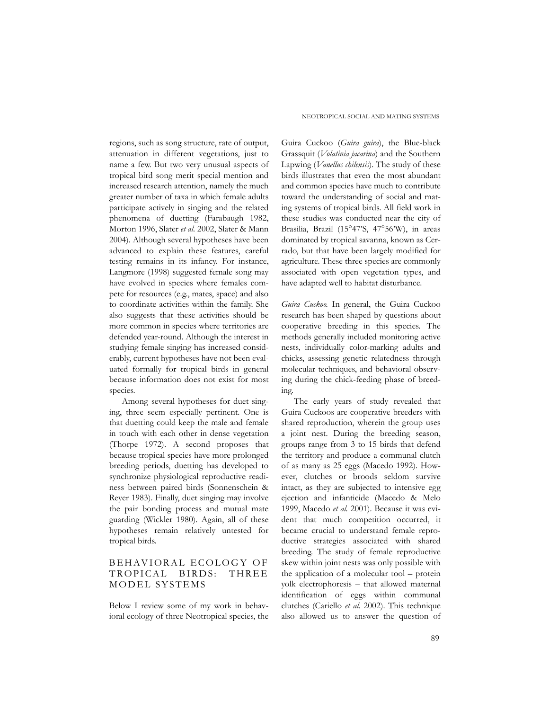regions, such as song structure, rate of output, attenuation in different vegetations, just to name a few. But two very unusual aspects of tropical bird song merit special mention and increased research attention, namely the much greater number of taxa in which female adults participate actively in singing and the related phenomena of duetting (Farabaugh 1982, Morton 1996, Slater *et al.* 2002, Slater & Mann 2004). Although several hypotheses have been advanced to explain these features, careful testing remains in its infancy. For instance, Langmore (1998) suggested female song may have evolved in species where females compete for resources (e.g., mates, space) and also to coordinate activities within the family. She also suggests that these activities should be more common in species where territories are defended year-round. Although the interest in studying female singing has increased considerably, current hypotheses have not been evaluated formally for tropical birds in general because information does not exist for most species.

Among several hypotheses for duet singing, three seem especially pertinent. One is that duetting could keep the male and female in touch with each other in dense vegetation (Thorpe 1972). A second proposes that because tropical species have more prolonged breeding periods, duetting has developed to synchronize physiological reproductive readiness between paired birds (Sonnenschein & Reyer 1983). Finally, duet singing may involve the pair bonding process and mutual mate guarding (Wickler 1980). Again, all of these hypotheses remain relatively untested for tropical birds.

# BEHAVIORAL ECOLOGY OF TROPICAL BIRDS: THREE MODEL SYSTEMS

Below I review some of my work in behavioral ecology of three Neotropical species, the NEOTROPICAL SOCIAL AND MATING SYSTEMS

Guira Cuckoo (*Guira guira*), the Blue-black Grassquit (*Volatinia jacarina*) and the Southern Lapwing (*Vanellus chilensis*). The study of these birds illustrates that even the most abundant and common species have much to contribute toward the understanding of social and mating systems of tropical birds. All field work in these studies was conducted near the city of Brasilia, Brazil (15°47'S, 47°56'W), in areas dominated by tropical savanna, known as Cerrado, but that have been largely modified for agriculture. These three species are commonly associated with open vegetation types, and have adapted well to habitat disturbance.

*Guira Cuckoo.* In general, the Guira Cuckoo research has been shaped by questions about cooperative breeding in this species. The methods generally included monitoring active nests, individually color-marking adults and chicks, assessing genetic relatedness through molecular techniques, and behavioral observing during the chick-feeding phase of breeding.

The early years of study revealed that Guira Cuckoos are cooperative breeders with shared reproduction, wherein the group uses a joint nest. During the breeding season, groups range from 3 to 15 birds that defend the territory and produce a communal clutch of as many as 25 eggs (Macedo 1992). However, clutches or broods seldom survive intact, as they are subjected to intensive egg ejection and infanticide (Macedo & Melo 1999, Macedo *et al.* 2001). Because it was evident that much competition occurred, it became crucial to understand female reproductive strategies associated with shared breeding. The study of female reproductive skew within joint nests was only possible with the application of a molecular tool – protein yolk electrophoresis – that allowed maternal identification of eggs within communal clutches (Cariello *et al.* 2002). This technique also allowed us to answer the question of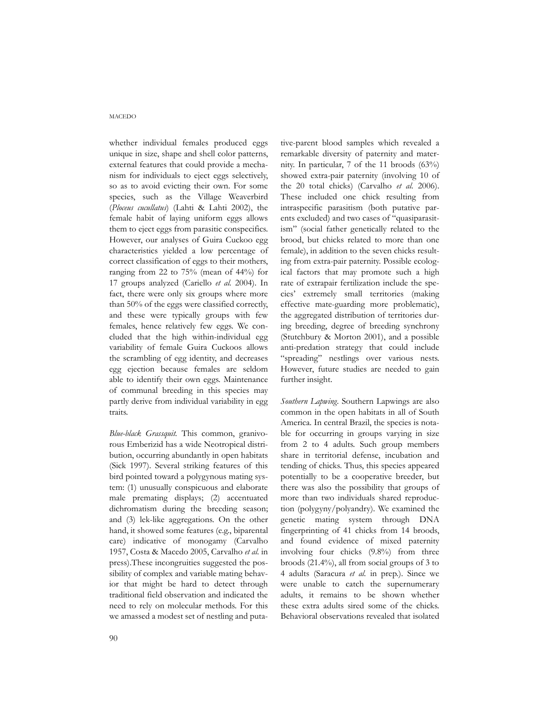### MACEDO

whether individual females produced eggs unique in size, shape and shell color patterns, external features that could provide a mechanism for individuals to eject eggs selectively, so as to avoid evicting their own. For some species, such as the Village Weaverbird (*Ploceus cucullatus*) (Lahti & Lahti 2002), the female habit of laying uniform eggs allows them to eject eggs from parasitic conspecifics. However, our analyses of Guira Cuckoo egg characteristics yielded a low percentage of correct classification of eggs to their mothers, ranging from 22 to 75% (mean of 44%) for 17 groups analyzed (Cariello *et al.* 2004). In fact, there were only six groups where more than 50% of the eggs were classified correctly, and these were typically groups with few females, hence relatively few eggs. We concluded that the high within-individual egg variability of female Guira Cuckoos allows the scrambling of egg identity, and decreases egg ejection because females are seldom able to identify their own eggs. Maintenance of communal breeding in this species may partly derive from individual variability in egg traits.

*Blue-black Grassquit.* This common, granivorous Emberizid has a wide Neotropical distribution, occurring abundantly in open habitats (Sick 1997). Several striking features of this bird pointed toward a polygynous mating system: (1) unusually conspicuous and elaborate male premating displays; (2) accentuated dichromatism during the breeding season; and (3) lek-like aggregations. On the other hand, it showed some features (e.g., biparental care) indicative of monogamy (Carvalho 1957, Costa & Macedo 2005, Carvalho *et al.* in press).These incongruities suggested the possibility of complex and variable mating behavior that might be hard to detect through traditional field observation and indicated the need to rely on molecular methods. For this we amassed a modest set of nestling and putative-parent blood samples which revealed a remarkable diversity of paternity and maternity. In particular, 7 of the 11 broods (63%) showed extra-pair paternity (involving 10 of the 20 total chicks) (Carvalho *et al.* 2006). These included one chick resulting from intraspecific parasitism (both putative parents excluded) and two cases of "quasiparasitism" (social father genetically related to the brood, but chicks related to more than one female), in addition to the seven chicks resulting from extra-pair paternity. Possible ecological factors that may promote such a high rate of extrapair fertilization include the species' extremely small territories (making effective mate-guarding more problematic), the aggregated distribution of territories during breeding, degree of breeding synchrony (Stutchbury & Morton 2001), and a possible anti-predation strategy that could include "spreading" nestlings over various nests. However, future studies are needed to gain further insight.

*Southern Lapwing.* Southern Lapwings are also common in the open habitats in all of South America. In central Brazil, the species is notable for occurring in groups varying in size from 2 to 4 adults. Such group members share in territorial defense, incubation and tending of chicks. Thus, this species appeared potentially to be a cooperative breeder, but there was also the possibility that groups of more than two individuals shared reproduction (polygyny/polyandry). We examined the genetic mating system through DNA fingerprinting of 41 chicks from 14 broods, and found evidence of mixed paternity involving four chicks (9.8%) from three broods (21.4%), all from social groups of 3 to 4 adults (Saracura *et al.* in prep.). Since we were unable to catch the supernumerary adults, it remains to be shown whether these extra adults sired some of the chicks. Behavioral observations revealed that isolated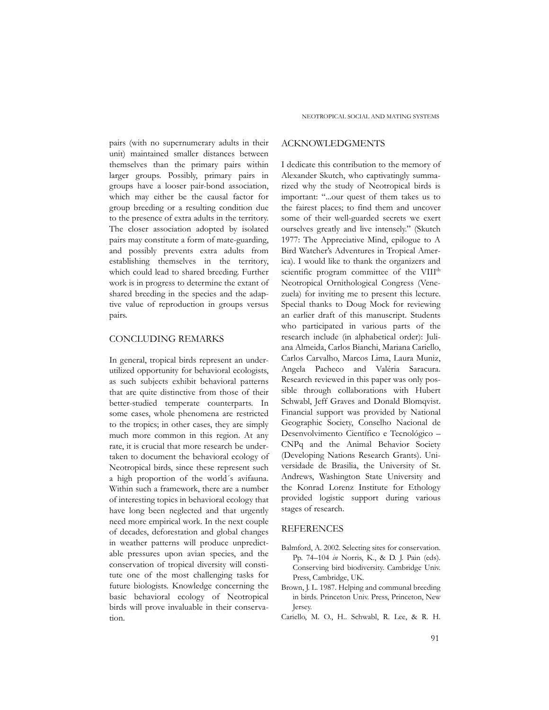pairs (with no supernumerary adults in their unit) maintained smaller distances between themselves than the primary pairs within larger groups. Possibly, primary pairs in groups have a looser pair-bond association, which may either be the causal factor for group breeding or a resulting condition due to the presence of extra adults in the territory. The closer association adopted by isolated pairs may constitute a form of mate-guarding, and possibly prevents extra adults from establishing themselves in the territory, which could lead to shared breeding. Further work is in progress to determine the extant of shared breeding in the species and the adaptive value of reproduction in groups versus pairs.

### CONCLUDING REMARKS

In general, tropical birds represent an underutilized opportunity for behavioral ecologists, as such subjects exhibit behavioral patterns that are quite distinctive from those of their better-studied temperate counterparts. In some cases, whole phenomena are restricted to the tropics; in other cases, they are simply much more common in this region. At any rate, it is crucial that more research be undertaken to document the behavioral ecology of Neotropical birds, since these represent such a high proportion of the world´s avifauna. Within such a framework, there are a number of interesting topics in behavioral ecology that have long been neglected and that urgently need more empirical work. In the next couple of decades, deforestation and global changes in weather patterns will produce unpredictable pressures upon avian species, and the conservation of tropical diversity will constitute one of the most challenging tasks for future biologists. Knowledge concerning the basic behavioral ecology of Neotropical birds will prove invaluable in their conservation.

### ACKNOWLEDGMENTS

I dedicate this contribution to the memory of Alexander Skutch, who captivatingly summarized why the study of Neotropical birds is important: "...our quest of them takes us to the fairest places; to find them and uncover some of their well-guarded secrets we exert ourselves greatly and live intensely." (Skutch 1977: The Appreciative Mind, epilogue to A Bird Watcher's Adventures in Tropical America). I would like to thank the organizers and scientific program committee of the VIII<sup>th</sup> Neotropical Ornithological Congress (Venezuela) for inviting me to present this lecture. Special thanks to Doug Mock for reviewing an earlier draft of this manuscript. Students who participated in various parts of the research include (in alphabetical order): Juliana Almeida, Carlos Bianchi, Mariana Cariello, Carlos Carvalho, Marcos Lima, Laura Muniz, Angela Pacheco and Valéria Saracura. Research reviewed in this paper was only possible through collaborations with Hubert Schwabl, Jeff Graves and Donald Blomqvist. Financial support was provided by National Geographic Society, Conselho Nacional de Desenvolvimento Científico e Tecnológico – CNPq and the Animal Behavior Society (Developing Nations Research Grants). Universidade de Brasilia, the University of St. Andrews, Washington State University and the Konrad Lorenz Institute for Ethology provided logistic support during various stages of research.

## **REFERENCES**

- Balmford, A. 2002. Selecting sites for conservation. Pp. 74–104 *in* Norris, K., & D. J. Pain (eds). Conserving bird biodiversity. Cambridge Univ. Press, Cambridge, UK.
- Brown, J. L. 1987. Helping and communal breeding in birds. Princeton Univ. Press, Princeton, New Jersey.
- Cariello, M. O., H.. Schwabl, R. Lee, & R. H.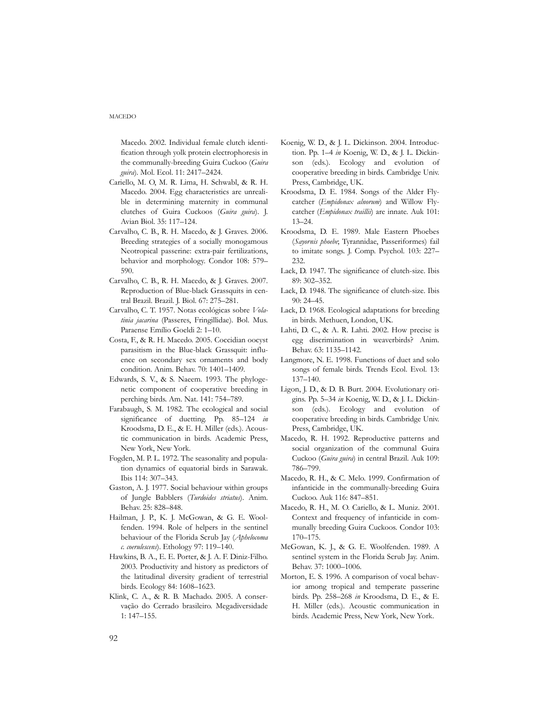Macedo. 2002. Individual female clutch identification through yolk protein electrophoresis in the communally-breeding Guira Cuckoo (*Guira guira*). Mol. Ecol. 11: 2417–2424.

- Cariello, M. O, M. R. Lima, H. Schwabl, & R. H. Macedo. 2004. Egg characteristics are unrealible in determining maternity in communal clutches of Guira Cuckoos (*Guira guira*). J. Avian Biol. 35: 117–124.
- Carvalho, C. B., R. H. Macedo, & J. Graves. 2006. Breeding strategies of a socially monogamous Neotropical passerine: extra-pair fertilizations, behavior and morphology. Condor 108: 579– 590.
- Carvalho, C. B., R. H. Macedo, & J. Graves. 2007. Reproduction of Blue-black Grassquits in central Brazil. Brazil. J. Biol. 67: 275–281.
- Carvalho, C. T. 1957. Notas ecológicas sobre *Volatinia jacarina* (Passeres, Fringillidae). Bol. Mus. Paraense Emílio Goeldi 2: 1–10.
- Costa, F., & R. H. Macedo. 2005. Coccidian oocyst parasitism in the Blue-black Grassquit: influence on secondary sex ornaments and body condition. Anim. Behav. 70: 1401–1409*.*
- Edwards, S. V., & S. Naeem. 1993. The phylogenetic component of cooperative breeding in perching birds. Am. Nat. 141: 754–789.
- Farabaugh, S. M. 1982. The ecological and social significance of duetting. Pp. 85–124 *in* Kroodsma, D. E., & E. H. Miller (eds.). Acoustic communication in birds. Academic Press, New York, New York.
- Fogden, M. P. L. 1972. The seasonality and population dynamics of equatorial birds in Sarawak. Ibis 114: 307–343.
- Gaston, A. J. 1977. Social behaviour within groups of Jungle Babblers (*Turdoides striatus*). Anim. Behav. 25: 828–848.
- Hailman, J. P., K. J. McGowan, & G. E. Woolfenden. 1994. Role of helpers in the sentinel behaviour of the Florida Scrub Jay (*Aphelocoma c. coerulescens*). Ethology 97: 119–140.
- Hawkins, B. A., E. E. Porter, & J. A. F. Diniz-Filho. 2003. Productivity and history as predictors of the latitudinal diversity gradient of terrestrial birds. Ecology 84: 1608–1623.
- Klink, C. A., & R. B. Machado. 2005. A conservação do Cerrado brasileiro. Megadiversidade 1: 147–155.
- Koenig, W. D., & J. L. Dickinson. 2004. Introduction. Pp. 1–4 *in* Koenig, W. D., & J. L. Dickinson (eds.). Ecology and evolution of cooperative breeding in birds. Cambridge Univ. Press, Cambridge, UK.
- Kroodsma, D. E. 1984. Songs of the Alder Flycatcher (*Empidonax alnorum*) and Willow Flycatcher (*Empidonax traillii*) are innate. Auk 101: 13–24.
- Kroodsma, D. E. 1989. Male Eastern Phoebes (*Sayornis phoebe*; Tyrannidae, Passeriformes) fail to imitate songs. J. Comp. Psychol. 103: 227– 232.
- Lack, D. 1947. The significance of clutch-size. Ibis 89: 302–352.
- Lack, D. 1948. The significance of clutch-size. Ibis 90: 24–45.
- Lack, D. 1968. Ecological adaptations for breeding in birds. Methuen, London, UK.
- Lahti, D. C., & A. R. Lahti. 2002. How precise is egg discrimination in weaverbirds? Anim. Behav. 63: 1135–1142.
- Langmore, N. E. 1998. Functions of duet and solo songs of female birds. Trends Ecol. Evol. 13: 137–140.
- Ligon, J. D., & D. B. Burt. 2004. Evolutionary origins. Pp. 5–34 *in* Koenig, W. D., & J. L. Dickinson (eds.). Ecology and evolution of cooperative breeding in birds. Cambridge Univ. Press, Cambridge, UK.
- Macedo, R. H. 1992. Reproductive patterns and social organization of the communal Guira Cuckoo (*Guira guira*) in central Brazil. Auk 109: 786–799.
- Macedo, R. H., & C. Melo. 1999. Confirmation of infanticide in the communally-breeding Guira Cuckoo. Auk 116: 847–851.
- Macedo, R. H., M. O. Cariello, & L. Muniz. 2001. Context and frequency of infanticide in communally breeding Guira Cuckoos. Condor 103: 170–175.
- McGowan, K. J., & G. E. Woolfenden. 1989. A sentinel system in the Florida Scrub Jay. Anim. Behav. 37: 1000–1006.
- Morton, E. S. 1996. A comparison of vocal behavior among tropical and temperate passerine birds. Pp. 258–268 *in* Kroodsma, D. E., & E. H. Miller (eds.). Acoustic communication in birds. Academic Press, New York, New York.